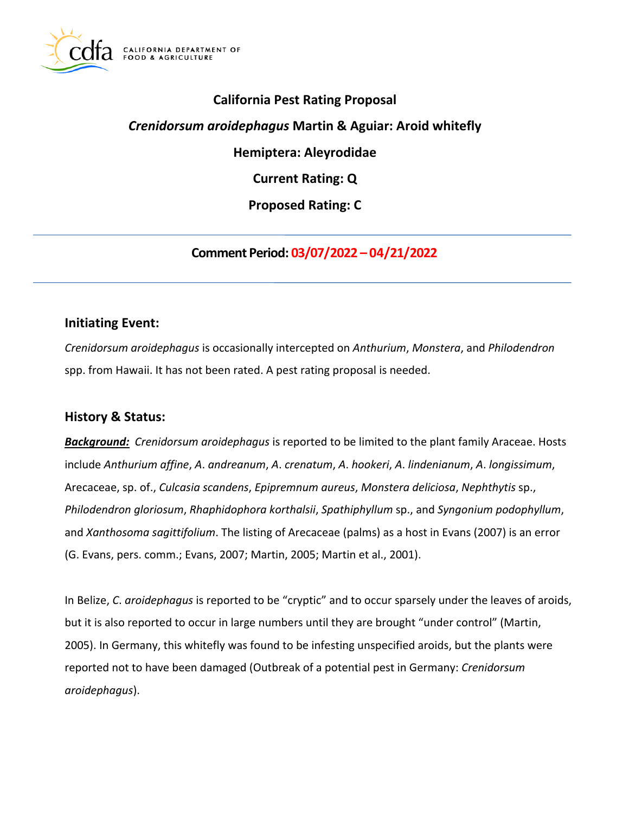

# **California Pest Rating Proposal**

## *Crenidorsum aroidephagus* **Martin & Aguiar: Aroid whitefly**

**Hemiptera: Aleyrodidae** 

**Current Rating: Q** 

**Proposed Rating: C** 

**Comment Period: 03/07/2022 – 04/21/2022** 

## **Initiating Event:**

*Crenidorsum aroidephagus* is occasionally intercepted on *Anthurium*, *Monstera*, and *Philodendron*  spp. from Hawaii. It has not been rated. A pest rating proposal is needed.

# **History & Status:**

*Background: Crenidorsum aroidephagus* is reported to be limited to the plant family Araceae. Hosts include *Anthurium affine*, *A*. *andreanum*, *A*. *crenatum*, *A*. *hookeri*, *A*. *lindenianum*, *A*. *longissimum*, Arecaceae, sp. of., *Culcasia scandens*, *Epipremnum aureus*, *Monstera deliciosa*, *Nephthytis* sp., *Philodendron gloriosum*, *Rhaphidophora korthalsii*, *Spathiphyllum* sp., and *Syngonium podophyllum*, and *Xanthosoma sagittifolium*. The listing of Arecaceae (palms) as a host in Evans (2007) is an error (G. Evans, pers. comm.; Evans, 2007; Martin, 2005; Martin et al., 2001).

In Belize, *C*. *aroidephagus* is reported to be "cryptic" and to occur sparsely under the leaves of aroids, but it is also reported to occur in large numbers until they are brought "under control" (Martin, 2005). In Germany, this whitefly was found to be infesting unspecified aroids, but the plants were reported not to have been damaged (Outbreak of a potential pest in Germany: *Crenidorsum aroidephagus*).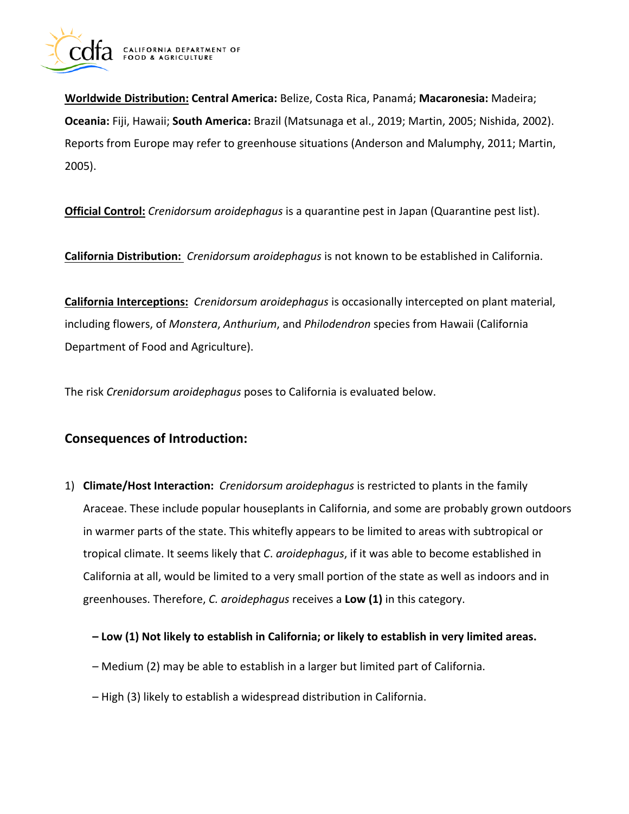

**Worldwide Distribution: Central America:** Belize, Costa Rica, Panamá; **Macaronesia:** Madeira; **Oceania:** Fiji, Hawaii; **South America:** Brazil (Matsunaga et al., 2019; Martin, 2005; Nishida, 2002). Reports from Europe may refer to greenhouse situations (Anderson and Malumphy, 2011; Martin, 2005).

**Official Control:** *Crenidorsum aroidephagus* is a quarantine pest in Japan (Quarantine pest list).

**California Distribution:** *Crenidorsum aroidephagus* is not known to be established in California.

**California Interceptions:** *Crenidorsum aroidephagus* is occasionally intercepted on plant material, including flowers, of *Monstera*, *Anthurium*, and *Philodendron* species from Hawaii (California Department of Food and Agriculture).

The risk *Crenidorsum aroidephagus* poses to California is evaluated below.

# **Consequences of Introduction:**

- 1) **Climate/Host Interaction:** *Crenidorsum aroidephagus* is restricted to plants in the family Araceae. These include popular houseplants in California, and some are probably grown outdoors in warmer parts of the state. This whitefly appears to be limited to areas with subtropical or tropical climate. It seems likely that *C*. *aroidephagus*, if it was able to become established in California at all, would be limited to a very small portion of the state as well as indoors and in greenhouses. Therefore, *C. aroidephagus* receives a **Low (1)** in this category.
	- **Low (1) Not likely to establish in California; or likely to establish in very limited areas.**
	- Medium (2) may be able to establish in a larger but limited part of California.
	- High (3) likely to establish a widespread distribution in California.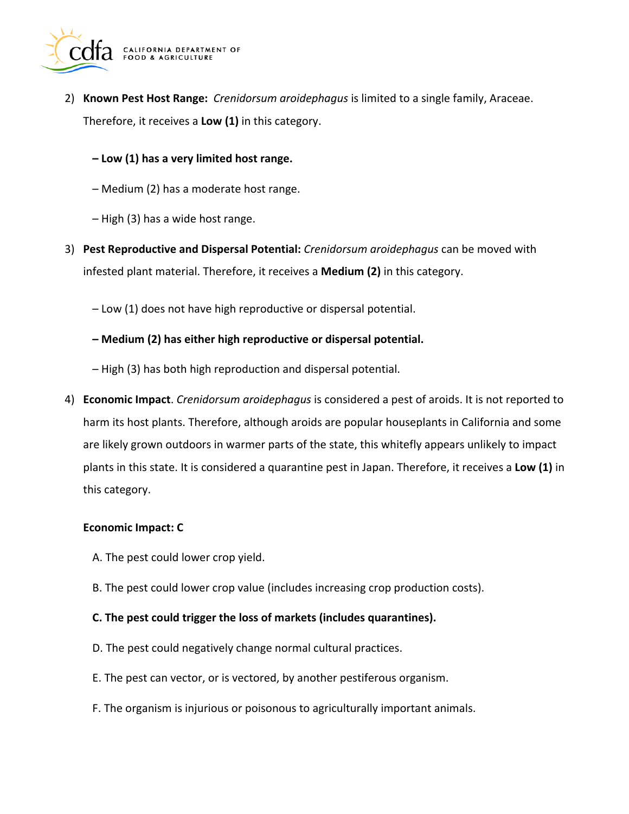

- 2) **Known Pest Host Range:** *Crenidorsum aroidephagus* is limited to a single family, Araceae. Therefore, it receives a **Low (1)** in this category.
	- **Low (1) has a very limited host range.**
	- Medium (2) has a moderate host range.
	- High (3) has a wide host range.
- 3) **Pest Reproductive and Dispersal Potential:** *Crenidorsum aroidephagus* can be moved with infested plant material. Therefore, it receives a **Medium (2)** in this category.
	- Low (1) does not have high reproductive or dispersal potential.
	- **Medium (2) has either high reproductive or dispersal potential.**
	- High (3) has both high reproduction and dispersal potential.
- 4) **Economic Impact**. *Crenidorsum aroidephagus* is considered a pest of aroids. It is not reported to harm its host plants. Therefore, although aroids are popular houseplants in California and some are likely grown outdoors in warmer parts of the state, this whitefly appears unlikely to impact plants in this state. It is considered a quarantine pest in Japan. Therefore, it receives a **Low (1)** in this category.

#### **Economic Impact: C**

- A. The pest could lower crop yield.
- B. The pest could lower crop value (includes increasing crop production costs).

### **C. The pest could trigger the loss of markets (includes quarantines).**

- D. The pest could negatively change normal cultural practices.
- E. The pest can vector, or is vectored, by another pestiferous organism.
- F. The organism is injurious or poisonous to agriculturally important animals.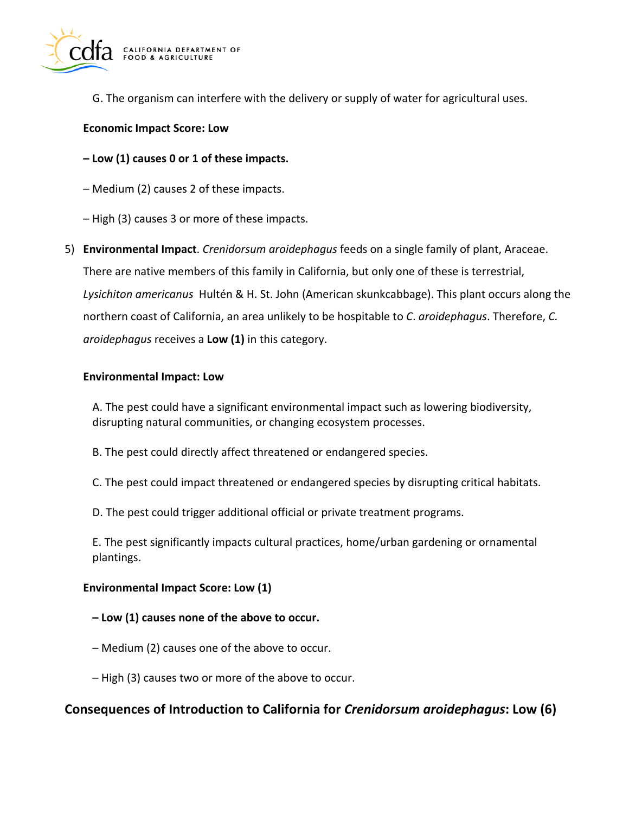

G. The organism can interfere with the delivery or supply of water for agricultural uses.

### **Economic Impact Score: Low**

**– Low (1) causes 0 or 1 of these impacts.** 

- Medium (2) causes 2 of these impacts.
- High (3) causes 3 or more of these impacts.
- 5) **Environmental Impact**. *Crenidorsum aroidephagus* feeds on a single family of plant, Araceae. There are native members of this family in California, but only one of these is terrestrial, *Lysichiton americanus* Hultén & H. St. John (American skunkcabbage). This plant occurs along the northern coast of California, an area unlikely to be hospitable to *C*. *aroidephagus*. Therefore, *C. aroidephagus* receives a **Low (1)** in this category.

### **Environmental Impact: Low**

A. The pest could have a significant environmental impact such as lowering biodiversity, disrupting natural communities, or changing ecosystem processes.

- B. The pest could directly affect threatened or endangered species.
- C. The pest could impact threatened or endangered species by disrupting critical habitats.
- D. The pest could trigger additional official or private treatment programs.

E. The pest significantly impacts cultural practices, home/urban gardening or ornamental plantings.

### **Environmental Impact Score: Low (1)**

### **– Low (1) causes none of the above to occur.**

- Medium (2) causes one of the above to occur.
- High (3) causes two or more of the above to occur.

## **Consequences of Introduction to California for** *Crenidorsum aroidephagus***: Low (6)**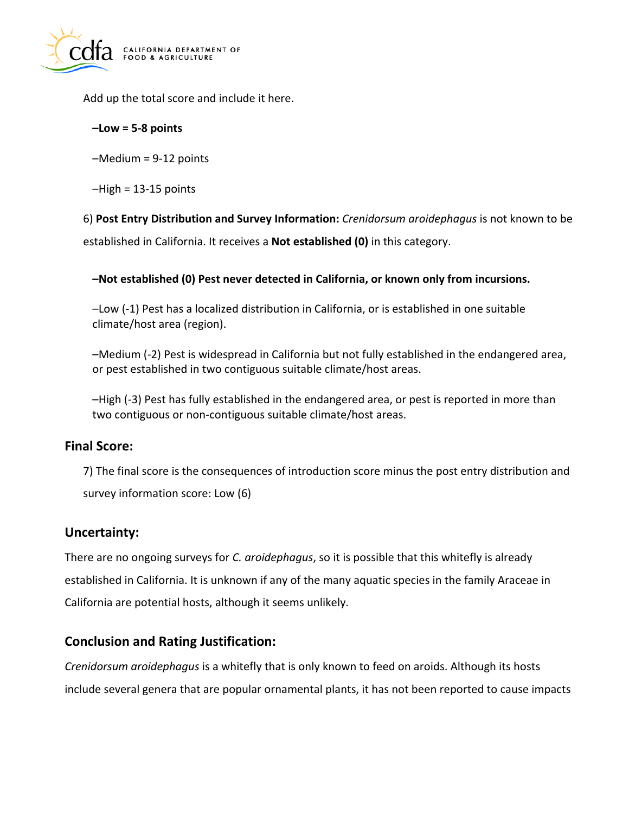

Add up the total score and include it here.

### **–Low = 5-8 points**

–Medium = 9-12 points

 $-High = 13-15$  points

6) **Post Entry Distribution and Survey Information:** *Crenidorsum aroidephagus* is not known to be established in California. It receives a **Not established (0)** in this category.

## **–Not established (0) Pest never detected in California, or known only from incursions.**

–Low (-1) Pest has a localized distribution in California, or is established in one suitable climate/host area (region).

–Medium (-2) Pest is widespread in California but not fully established in the endangered area, or pest established in two contiguous suitable climate/host areas.

–High (-3) Pest has fully established in the endangered area, or pest is reported in more than two contiguous or non-contiguous suitable climate/host areas.

## **Final Score:**

7) The final score is the consequences of introduction score minus the post entry distribution and survey information score: Low (6)

# **Uncertainty:**

There are no ongoing surveys for *C. aroidephagus*, so it is possible that this whitefly is already established in California. It is unknown if any of the many aquatic species in the family Araceae in California are potential hosts, although it seems unlikely.

# **Conclusion and Rating Justification:**

*Crenidorsum aroidephagus* is a whitefly that is only known to feed on aroids. Although its hosts include several genera that are popular ornamental plants, it has not been reported to cause impacts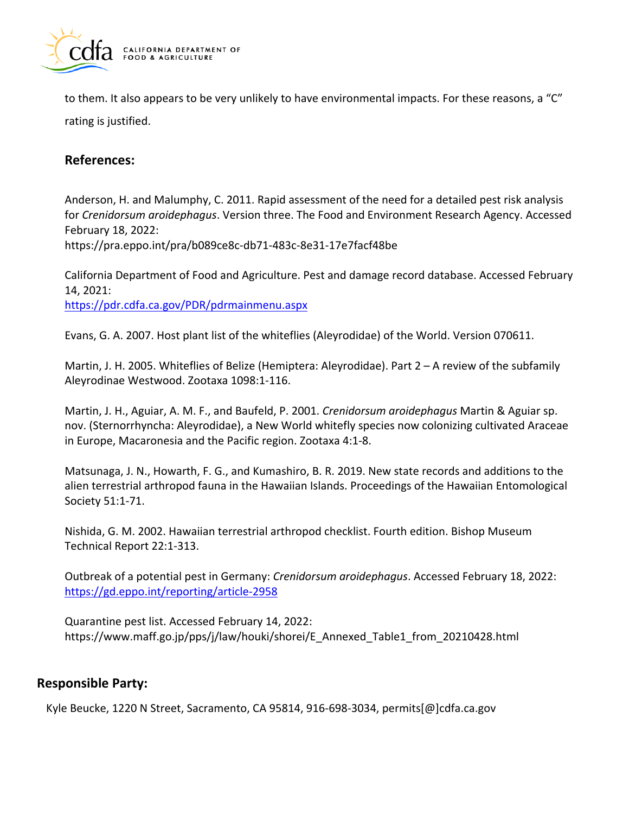

to them. It also appears to be very unlikely to have environmental impacts. For these reasons, a "C" rating is justified.

# **References:**

Anderson, H. and Malumphy, C. 2011. Rapid assessment of the need for a detailed pest risk analysis for *Crenidorsum aroidephagus*. Version three. The Food and Environment Research Agency. Accessed February 18, 2022: <https://pra.eppo.int/pra/b089ce8c-db71-483c-8e31-17e7facf48be>

California Department of Food and Agriculture. Pest and damage record database. Accessed February 14, 2021:

<https://pdr.cdfa.ca.gov/PDR/pdrmainmenu.aspx>

Evans, G. A. 2007. Host plant list of the whiteflies (Aleyrodidae) of the World. Version 070611.

Martin, J. H. 2005. Whiteflies of Belize (Hemiptera: Aleyrodidae). Part 2 – A review of the subfamily Aleyrodinae Westwood. Zootaxa 1098:1-116.

Martin, J. H., Aguiar, A. M. F., and Baufeld, P. 2001. *Crenidorsum aroidephagus* Martin & Aguiar sp. nov. (Sternorrhyncha: Aleyrodidae), a New World whitefly species now colonizing cultivated Araceae in Europe, Macaronesia and the Pacific region. Zootaxa 4:1-8.

Matsunaga, J. N., Howarth, F. G., and Kumashiro, B. R. 2019. New state records and additions to the alien terrestrial arthropod fauna in the Hawaiian Islands. Proceedings of the Hawaiian Entomological Society 51:1-71.

Nishida, G. M. 2002. Hawaiian terrestrial arthropod checklist. Fourth edition. Bishop Museum Technical Report 22:1-313.

Outbreak of a potential pest in Germany: *Crenidorsum aroidephagus*. Accessed February 18, 2022: <https://gd.eppo.int/reporting/article-2958>

Quarantine pest list. Accessed February 14, 2022: [https://www.maff.go.jp/pps/j/law/houki/shorei/E\\_Annexed\\_Table1\\_from\\_20210428.html](https://www.maff.go.jp/pps/j/law/houki/shorei/E_Annexed_Table1_from_20210428.html)

# **Responsible Party:**

Kyle Beucke, 1220 N Street, Sacramento, CA 95814, 916-698-3034, [permits\[@\]cdfa.ca.gov](https://permits[@]cdfa.ca.gov)